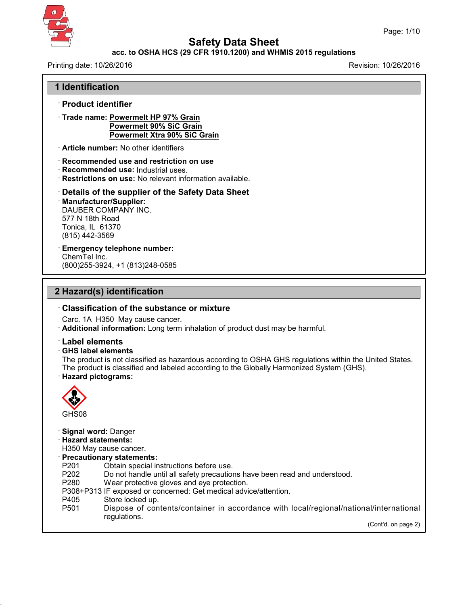

43.0

**Safety Data Sheet**

### **acc. to OSHA HCS (29 CFR 1910.1200) and WHMIS 2015 regulations**

| Printing date: 10/26/2016                                                                                                                                                                                                                                                                                                                                                   | Revision: 10/26/2016 |
|-----------------------------------------------------------------------------------------------------------------------------------------------------------------------------------------------------------------------------------------------------------------------------------------------------------------------------------------------------------------------------|----------------------|
| 1 Identification                                                                                                                                                                                                                                                                                                                                                            |                      |
| · Product identifier                                                                                                                                                                                                                                                                                                                                                        |                      |
| · Trade name: Powermelt HP 97% Grain<br><b>Powermelt 90% SiC Grain</b><br><b>Powermelt Xtra 90% SiC Grain</b>                                                                                                                                                                                                                                                               |                      |
| Article number: No other identifiers                                                                                                                                                                                                                                                                                                                                        |                      |
| Recommended use and restriction on use<br>Recommended use: Industrial uses.<br>· Restrictions on use: No relevant information available.                                                                                                                                                                                                                                    |                      |
| Details of the supplier of the Safety Data Sheet<br>· Manufacturer/Supplier:<br><b>DAUBER COMPANY INC.</b><br>577 N 18th Road<br>Tonica, IL 61370<br>(815) 442-3569                                                                                                                                                                                                         |                      |
| <b>Emergency telephone number:</b><br>ChemTel Inc.<br>(800) 255-3924, +1 (813) 248-0585                                                                                                                                                                                                                                                                                     |                      |
| 2 Hazard(s) identification                                                                                                                                                                                                                                                                                                                                                  |                      |
| <b>Classification of the substance or mixture</b>                                                                                                                                                                                                                                                                                                                           |                      |
| Carc. 1A H350 May cause cancer.<br>· Additional information: Long term inhalation of product dust may be harmful.                                                                                                                                                                                                                                                           |                      |
| <b>Label elements</b><br>⋅ GHS label elements<br>The product is not classified as hazardous according to OSHA GHS regulations within the United States.<br>The product is classified and labeled according to the Globally Harmonized System (GHS).<br>· Hazard pictograms:                                                                                                 |                      |
| 82<br>GHS08                                                                                                                                                                                                                                                                                                                                                                 |                      |
| Signal word: Danger<br><b>Hazard statements:</b><br>H350 May cause cancer.<br>· Precautionary statements:<br>P201<br>Obtain special instructions before use.<br>P202<br>Do not handle until all safety precautions have been read and understood.<br>P280<br>Wear protective gloves and eye protection.<br>P308+P313 IF exposed or concerned: Get medical advice/attention. |                      |
| P405<br>Store locked up.<br>P501<br>Dispose of contents/container in accordance with local/regional/national/international<br>regulations.                                                                                                                                                                                                                                  |                      |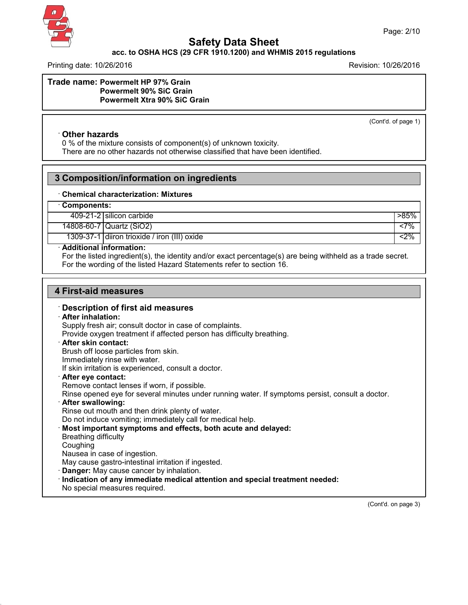

## **acc. to OSHA HCS (29 CFR 1910.1200) and WHMIS 2015 regulations**

Printing date: 10/26/2016 Revision: 10/26/2016

**Trade name: Powermelt HP 97% Grain Powermelt 90% SiC Grain Powermelt Xtra 90% SiC Grain**

(Cont'd. of page 1)

### · **Other hazards**

0 % of the mixture consists of component(s) of unknown toxicity. There are no other hazards not otherwise classified that have been identified.

## **3 Composition/information on ingredients**

#### · **Chemical characterization: Mixtures**

### · **Components:**

409-21-2 silicon carbide  $\vert$  >85%

14808-60-7 Quartz (SiO2) <7%

1309-37-1 diiron trioxide / iron (III) oxide <2%

### · **Additional information:**

For the listed ingredient(s), the identity and/or exact percentage(s) are being withheld as a trade secret. For the wording of the listed Hazard Statements refer to section 16.

## **4 First-aid measures**

### · **Description of first aid measures**

#### · **After inhalation:**

Supply fresh air; consult doctor in case of complaints.

Provide oxygen treatment if affected person has difficulty breathing.

#### · **After skin contact:**

Brush off loose particles from skin.

Immediately rinse with water.

If skin irritation is experienced, consult a doctor.

#### · **After eye contact:**

Remove contact lenses if worn, if possible.

Rinse opened eye for several minutes under running water. If symptoms persist, consult a doctor.

#### · **After swallowing:**

Rinse out mouth and then drink plenty of water.

Do not induce vomiting; immediately call for medical help.

· **Most important symptoms and effects, both acute and delayed:**

Breathing difficulty

Coughing

43.0

Nausea in case of ingestion.

May cause gastro-intestinal irritation if ingested.

- **Danger:** May cause cancer by inhalation.
- · **Indication of any immediate medical attention and special treatment needed:**
- No special measures required.

(Cont'd. on page 3)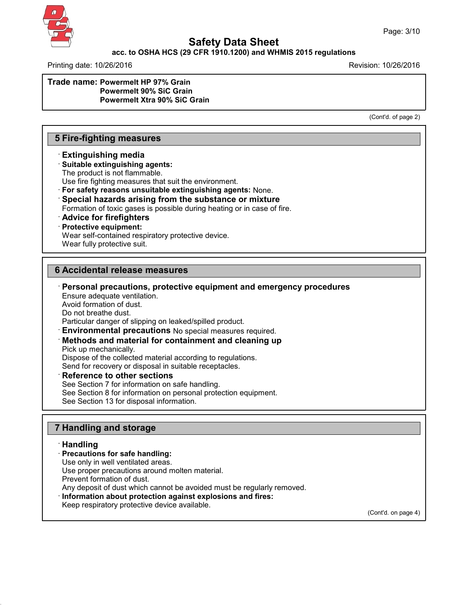

### **acc. to OSHA HCS (29 CFR 1910.1200) and WHMIS 2015 regulations**

Printing date: 10/26/2016 Revision: 10/26/2016

**Trade name: Powermelt HP 97% Grain Powermelt 90% SiC Grain Powermelt Xtra 90% SiC Grain**

(Cont'd. of page 2)

## **5 Fire-fighting measures**

### · **Extinguishing media**

### · **Suitable extinguishing agents:**

The product is not flammable.

Use fire fighting measures that suit the environment.

· **For safety reasons unsuitable extinguishing agents:** None.

· **Special hazards arising from the substance or mixture**

Formation of toxic gases is possible during heating or in case of fire.

### · **Advice for firefighters**

### · **Protective equipment:**

Wear self-contained respiratory protective device.

Wear fully protective suit.

### **6 Accidental release measures**

· **Personal precautions, protective equipment and emergency procedures**

Ensure adequate ventilation. Avoid formation of dust. Do not breathe dust. Particular danger of slipping on leaked/spilled product. · **Environmental precautions** No special measures required. · **Methods and material for containment and cleaning up** Pick up mechanically. Dispose of the collected material according to regulations. Send for recovery or disposal in suitable receptacles.

· **Reference to other sections**

See Section 7 for information on safe handling.

See Section 8 for information on personal protection equipment.

See Section 13 for disposal information.

### **7 Handling and storage**

### · **Handling**

43.0

· **Precautions for safe handling:** Use only in well ventilated areas.

Use proper precautions around molten material.

Prevent formation of dust.

Any deposit of dust which cannot be avoided must be regularly removed.

- · **Information about protection against explosions and fires:**
- Keep respiratory protective device available.

(Cont'd. on page 4)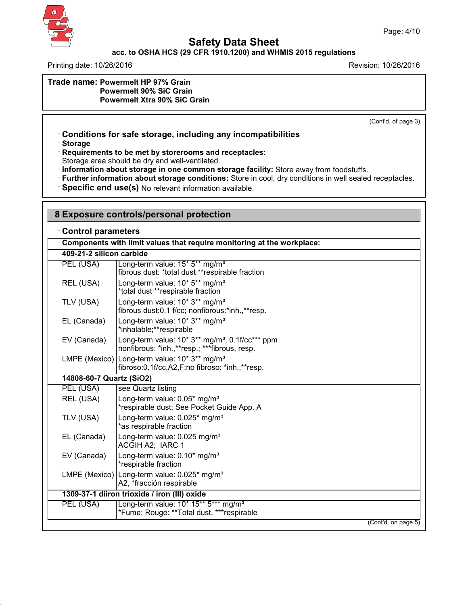

# **acc. to OSHA HCS (29 CFR 1910.1200) and WHMIS 2015 regulations**

Printing date: 10/26/2016 **Revision: 10/26/2016** 

### **Trade name: Powermelt HP 97% Grain Powermelt 90% SiC Grain Powermelt Xtra 90% SiC Grain**

(Cont'd. of page 3)

## · **Conditions for safe storage, including any incompatibilities**

· **Storage**

43.0

· **Requirements to be met by storerooms and receptacles:**

Storage area should be dry and well-ventilated.

· **Information about storage in one common storage facility:** Store away from foodstuffs.

· **Further information about storage conditions:** Store in cool, dry conditions in well sealed receptacles.

· **Specific end use(s)** No relevant information available.

# **8 Exposure controls/personal protection**

### · **Control parameters**

|                          | Components with limit values that require monitoring at the workplace:                                           |
|--------------------------|------------------------------------------------------------------------------------------------------------------|
| 409-21-2 silicon carbide |                                                                                                                  |
| PEL (USA)                | Long-term value: 15* 5** mg/m <sup>3</sup><br>fibrous dust: *total dust **respirable fraction                    |
| REL (USA)                | Long-term value: 10* 5** mg/m <sup>3</sup><br>*total dust **respirable fraction                                  |
| TLV (USA)                | Long-term value: 10* 3** mg/m <sup>3</sup><br>fibrous dust:0.1 f/cc; nonfibrous:*inh.,**resp.                    |
| EL (Canada)              | Long-term value: 10* 3** mg/m <sup>3</sup><br>*inhalable;**respirable                                            |
| EV (Canada)              | Long-term value: $10* 3**$ mg/m <sup>3</sup> , $0.1f/cc***$ ppm<br>nonfibrous: *inh.,**resp.; ***fibrous, resp.  |
|                          | LMPE (Mexico) Long-term value: 10* 3** mg/m <sup>3</sup><br>fibroso: 0.1f/cc, A2, F; no fibroso: *inh., ** resp. |
| 14808-60-7 Quartz (SiO2) |                                                                                                                  |
| PEL (USA)                | see Quartz listing                                                                                               |
| REL (USA)                | Long-term value: 0.05* mg/m <sup>3</sup><br>*respirable dust; See Pocket Guide App. A                            |
| TLV (USA)                | Long-term value: 0.025* mg/m <sup>3</sup><br>*as respirable fraction                                             |
| EL (Canada)              | Long-term value: 0.025 mg/m <sup>3</sup><br>ACGIH A2; IARC 1                                                     |
| EV (Canada)              | Long-term value: 0.10* mg/m <sup>3</sup><br>*respirable fraction                                                 |
|                          | LMPE (Mexico) Long-term value: 0.025* mg/m <sup>3</sup><br>A2, *fracción respirable                              |
|                          | 1309-37-1 diiron trioxide / iron (III) oxide                                                                     |
| PEL (USA)                | Long-term value: 10* 15** 5*** mg/m <sup>3</sup><br>*Fume; Rouge: **Total dust, ***respirable                    |
|                          | (Cont'd. on page 5)                                                                                              |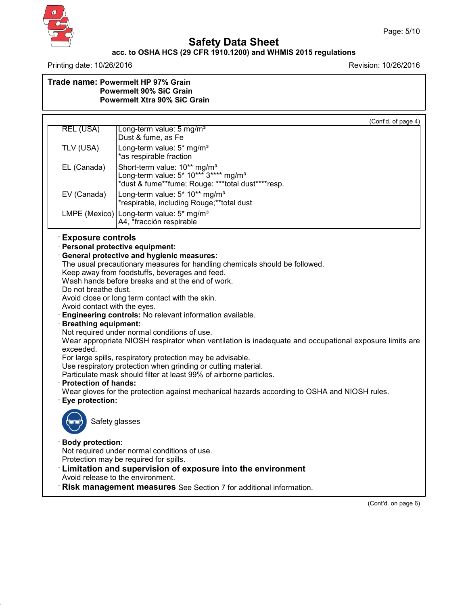

43.0

# **Safety Data Sheet**

### **acc. to OSHA HCS (29 CFR 1910.1200) and WHMIS 2015 regulations**

Printing date: 10/26/2016 **Revision: 10/26/2016** 

| Trade name: Powermelt HP 97% Grain<br><b>Powermelt 90% SiC Grain</b><br><b>Powermelt Xtra 90% SiC Grain</b> |
|-------------------------------------------------------------------------------------------------------------|
|                                                                                                             |
|                                                                                                             |

|                                                                                                                                                    | (Cont'd. of page 4)                                                                                                                                                                                                                                                                                                                                                                                                                                                                                                                                                                                                                                                                                                                                                                                                |
|----------------------------------------------------------------------------------------------------------------------------------------------------|--------------------------------------------------------------------------------------------------------------------------------------------------------------------------------------------------------------------------------------------------------------------------------------------------------------------------------------------------------------------------------------------------------------------------------------------------------------------------------------------------------------------------------------------------------------------------------------------------------------------------------------------------------------------------------------------------------------------------------------------------------------------------------------------------------------------|
| <b>REL (USA)</b>                                                                                                                                   | Long-term value: 5 mg/m <sup>3</sup><br>Dust & fume, as Fe                                                                                                                                                                                                                                                                                                                                                                                                                                                                                                                                                                                                                                                                                                                                                         |
| TLV (USA)                                                                                                                                          | Long-term value: 5* mg/m <sup>3</sup><br>*as respirable fraction                                                                                                                                                                                                                                                                                                                                                                                                                                                                                                                                                                                                                                                                                                                                                   |
| EL (Canada)                                                                                                                                        | Short-term value: 10** mg/m <sup>3</sup><br>Long-term value: 5* 10*** 3**** mg/m <sup>3</sup><br>*dust & fume**fume; Rouge: ***total dust****resp.                                                                                                                                                                                                                                                                                                                                                                                                                                                                                                                                                                                                                                                                 |
| EV (Canada)                                                                                                                                        | Long-term value: 5* 10** mg/m <sup>3</sup><br>*respirable, including Rouge;**total dust                                                                                                                                                                                                                                                                                                                                                                                                                                                                                                                                                                                                                                                                                                                            |
|                                                                                                                                                    | LMPE (Mexico) Long-term value: 5* mg/m <sup>3</sup><br>A4, *fracción respirable                                                                                                                                                                                                                                                                                                                                                                                                                                                                                                                                                                                                                                                                                                                                    |
| <b>Exposure controls</b>                                                                                                                           | · Personal protective equipment:                                                                                                                                                                                                                                                                                                                                                                                                                                                                                                                                                                                                                                                                                                                                                                                   |
| Do not breathe dust.<br>Avoid contact with the eyes.<br><b>Breathing equipment:</b><br>exceeded.<br><b>Protection of hands:</b><br>Eye protection: | <b>General protective and hygienic measures:</b><br>The usual precautionary measures for handling chemicals should be followed.<br>Keep away from foodstuffs, beverages and feed.<br>Wash hands before breaks and at the end of work.<br>Avoid close or long term contact with the skin.<br>Engineering controls: No relevant information available.<br>Not required under normal conditions of use.<br>Wear appropriate NIOSH respirator when ventilation is inadequate and occupational exposure limits are<br>For large spills, respiratory protection may be advisable.<br>Use respiratory protection when grinding or cutting material.<br>Particulate mask should filter at least 99% of airborne particles.<br>Wear gloves for the protection against mechanical hazards according to OSHA and NIOSH rules. |
| Safety glasses                                                                                                                                     |                                                                                                                                                                                                                                                                                                                                                                                                                                                                                                                                                                                                                                                                                                                                                                                                                    |
| <b>Body protection:</b>                                                                                                                            | Not required under normal conditions of use.<br>Protection may be required for spills.<br>: Limitation and supervision of exposure into the environment<br>Avoid release to the environment.<br><b>Risk management measures</b> See Section 7 for additional information.                                                                                                                                                                                                                                                                                                                                                                                                                                                                                                                                          |

(Cont'd. on page 6)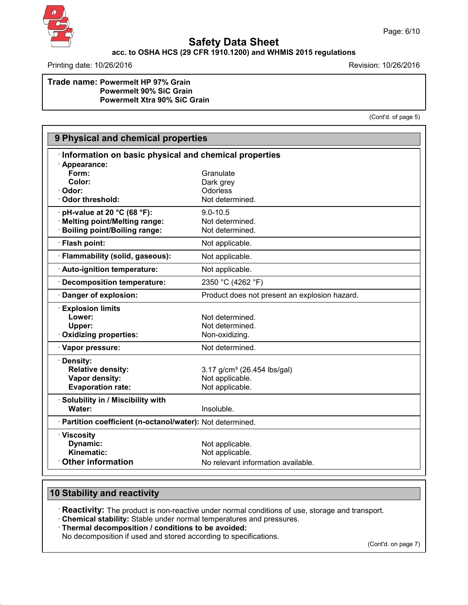

# **acc. to OSHA HCS (29 CFR 1910.1200) and WHMIS 2015 regulations**

Printing date: 10/26/2016 **Revision: 10/26/2016** 

### **Trade name: Powermelt HP 97% Grain Powermelt 90% SiC Grain Powermelt Xtra 90% SiC Grain**

(Cont'd. of page 5)

| 9 Physical and chemical properties                         |                                                       |  |  |  |
|------------------------------------------------------------|-------------------------------------------------------|--|--|--|
|                                                            | Information on basic physical and chemical properties |  |  |  |
| Appearance:                                                |                                                       |  |  |  |
| Form:                                                      | Granulate                                             |  |  |  |
| Color:                                                     | Dark grey                                             |  |  |  |
| · Odor:                                                    | Odorless                                              |  |  |  |
| Odor threshold:                                            | Not determined.                                       |  |  |  |
| pH-value at 20 °C (68 °F):                                 | $9.0 - 10.5$                                          |  |  |  |
| · Melting point/Melting range:                             | Not determined.                                       |  |  |  |
| <b>Boiling point/Boiling range:</b>                        | Not determined.                                       |  |  |  |
| · Flash point:                                             | Not applicable.                                       |  |  |  |
| · Flammability (solid, gaseous):                           | Not applicable.                                       |  |  |  |
| · Auto-ignition temperature:                               | Not applicable.                                       |  |  |  |
| <b>Decomposition temperature:</b>                          | 2350 °C (4262 °F)                                     |  |  |  |
| · Danger of explosion:                                     | Product does not present an explosion hazard.         |  |  |  |
| <b>Explosion limits</b>                                    |                                                       |  |  |  |
| Lower:                                                     | Not determined.                                       |  |  |  |
| Upper:                                                     | Not determined.                                       |  |  |  |
| Oxidizing properties:                                      | Non-oxidizing.                                        |  |  |  |
| · Vapor pressure:                                          | Not determined.                                       |  |  |  |
| · Density:                                                 |                                                       |  |  |  |
| <b>Relative density:</b>                                   | 3.17 g/cm <sup>3</sup> (26.454 lbs/gal)               |  |  |  |
| Vapor density:                                             | Not applicable.                                       |  |  |  |
| <b>Evaporation rate:</b>                                   | Not applicable.                                       |  |  |  |
| · Solubility in / Miscibility with                         |                                                       |  |  |  |
| Water:                                                     | Insoluble.                                            |  |  |  |
| · Partition coefficient (n-octanol/water): Not determined. |                                                       |  |  |  |
| · Viscosity                                                |                                                       |  |  |  |
| Dynamic:                                                   | Not applicable.                                       |  |  |  |
| Kinematic:                                                 | Not applicable.                                       |  |  |  |
| <b>Other information</b>                                   | No relevant information available.                    |  |  |  |

# **10 Stability and reactivity**

43.0

· **Reactivity:** The product is non-reactive under normal conditions of use, storage and transport.

· **Chemical stability:** Stable under normal temperatures and pressures.

· **Thermal decomposition / conditions to be avoided:**

No decomposition if used and stored according to specifications.

(Cont'd. on page 7)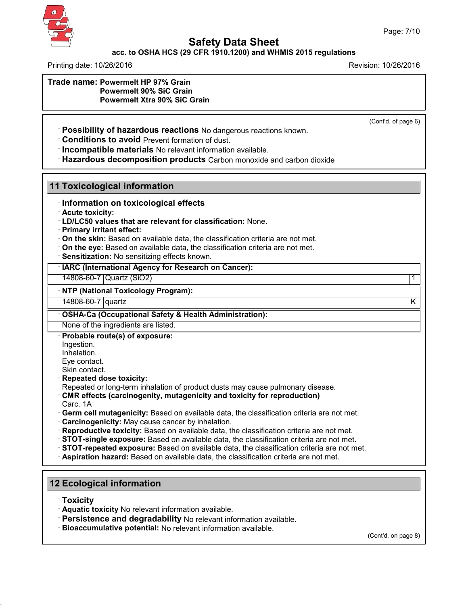

### **acc. to OSHA HCS (29 CFR 1910.1200) and WHMIS 2015 regulations**

Printing date: 10/26/2016 Revision: 10/26/2016

**Trade name: Powermelt HP 97% Grain Powermelt 90% SiC Grain Powermelt Xtra 90% SiC Grain**

(Cont'd. of page 6)

· **Possibility of hazardous reactions** No dangerous reactions known.

· **Conditions to avoid** Prevent formation of dust.

· **Incompatible materials** No relevant information available.

· **Hazardous decomposition products** Carbon monoxide and carbon dioxide

### **11 Toxicological information**

· **Information on toxicological effects**

· **Acute toxicity:**

· **LD/LC50 values that are relevant for classification:** None.

· **Primary irritant effect:**

· **On the skin:** Based on available data, the classification criteria are not met.

- · **On the eye:** Based on available data, the classification criteria are not met.
- · **Sensitization:** No sensitizing effects known.

### · **IARC (International Agency for Research on Cancer):**

14808-60-7 Quartz (SiO2) 1

### · **NTP (National Toxicology Program):**

14808-60-7 quartz K

### · **OSHA-Ca (Occupational Safety & Health Administration):**

None of the ingredients are listed.

### · **Probable route(s) of exposure:**

Ingestion. Inhalation. Eye contact.

Skin contact.

· **Repeated dose toxicity:**

Repeated or long-term inhalation of product dusts may cause pulmonary disease.

### · **CMR effects (carcinogenity, mutagenicity and toxicity for reproduction)**

Carc. 1A

· **Germ cell mutagenicity:** Based on available data, the classification criteria are not met.

- · **Carcinogenicity:** May cause cancer by inhalation.
- · **Reproductive toxicity:** Based on available data, the classification criteria are not met.
- · **STOT-single exposure:** Based on available data, the classification criteria are not met.
- · **STOT-repeated exposure:** Based on available data, the classification criteria are not met.
- · **Aspiration hazard:** Based on available data, the classification criteria are not met.

### **12 Ecological information**

· **Toxicity**

43.0

- · **Aquatic toxicity** No relevant information available.
- · **Persistence and degradability** No relevant information available.
- · **Bioaccumulative potential:** No relevant information available.

(Cont'd. on page 8)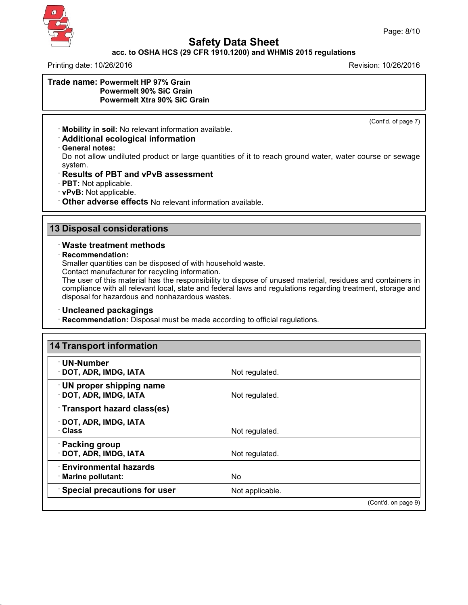

## **acc. to OSHA HCS (29 CFR 1910.1200) and WHMIS 2015 regulations**

Printing date: 10/26/2016 **Revision: 10/26/2016** Revision: 10/26/2016

### **Trade name: Powermelt HP 97% Grain Powermelt 90% SiC Grain Powermelt Xtra 90% SiC Grain**

(Cont'd. of page 7)

· **Mobility in soil:** No relevant information available.

# · **Additional ecological information**

· **General notes:**

Do not allow undiluted product or large quantities of it to reach ground water, water course or sewage system.

### · **Results of PBT and vPvB assessment**

- · **PBT:** Not applicable.
- · **vPvB:** Not applicable.
- · **Other adverse effects** No relevant information available.

## **13 Disposal considerations**

### · **Waste treatment methods**

### · **Recommendation:**

43.0

Smaller quantities can be disposed of with household waste.

Contact manufacturer for recycling information.

The user of this material has the responsibility to dispose of unused material, residues and containers in compliance with all relevant local, state and federal laws and regulations regarding treatment, storage and disposal for hazardous and nonhazardous wastes.

### · **Uncleaned packagings**

· **Recommendation:** Disposal must be made according to official regulations.

| <b>14 Transport information</b>                     |                 |                     |
|-----------------------------------------------------|-----------------|---------------------|
| $\cdot$ UN-Number<br>· DOT, ADR, IMDG, IATA         | Not regulated.  |                     |
| UN proper shipping name<br>· DOT, ADR, IMDG, IATA   | Not regulated.  |                     |
| Transport hazard class(es)                          |                 |                     |
| · DOT, ADR, IMDG, IATA<br>· Class                   | Not regulated.  |                     |
| · Packing group<br>· DOT, ADR, IMDG, IATA           | Not regulated.  |                     |
| <b>Environmental hazards</b><br>· Marine pollutant: | No.             |                     |
| <b>Special precautions for user</b>                 | Not applicable. |                     |
|                                                     |                 | (Cont'd. on page 9) |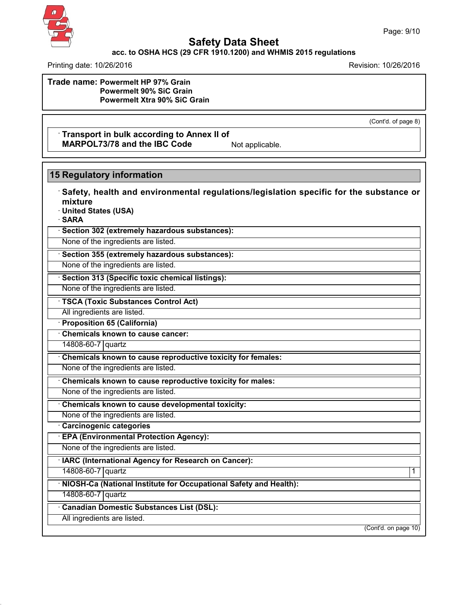

### **acc. to OSHA HCS (29 CFR 1910.1200) and WHMIS 2015 regulations**

Printing date: 10/26/2016 Revision: 10/26/2016

**Trade name: Powermelt HP 97% Grain Powermelt 90% SiC Grain Powermelt Xtra 90% SiC Grain**

(Cont'd. of page 8)

### · **Transport in bulk according to Annex II of MARPOL73/78** and the IBC Code Not applicable.

## **15 Regulatory information**

· **Safety, health and environmental regulations/legislation specific for the substance or mixture**

· **United States (USA)**

· **SARA**

· **Section 302 (extremely hazardous substances):**

None of the ingredients are listed.

· **Section 355 (extremely hazardous substances):**

None of the ingredients are listed.

· **Section 313 (Specific toxic chemical listings):**

None of the ingredients are listed.

· **TSCA (Toxic Substances Control Act)**

All ingredients are listed.

· **Proposition 65 (California)**

· **Chemicals known to cause cancer:**

14808-60-7 quartz

· **Chemicals known to cause reproductive toxicity for females:**

None of the ingredients are listed.

· **Chemicals known to cause reproductive toxicity for males:**

None of the ingredients are listed.

· **Chemicals known to cause developmental toxicity:**

None of the ingredients are listed.

· **Carcinogenic categories**

· **EPA (Environmental Protection Agency):**

None of the ingredients are listed.

· **IARC (International Agency for Research on Cancer):**

14808-60-7 quartz 1

· **NIOSH-Ca (National Institute for Occupational Safety and Health):**

14808-60-7 quartz

43.0

· **Canadian Domestic Substances List (DSL):**

All ingredients are listed.

(Cont'd. on page 10)